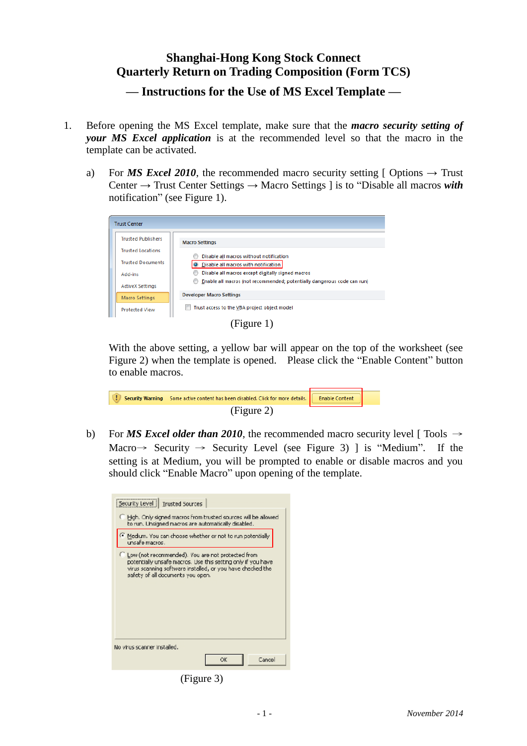## **Shanghai-Hong Kong Stock Connect Quarterly Return on Trading Composition (Form TCS)**

**— Instructions for the Use of MS Excel Template —**

- 1. Before opening the MS Excel template, make sure that the *macro security setting of your MS Excel application* is at the recommended level so that the macro in the template can be activated.
	- a) For *MS Excel 2010*, the recommended macro security setting  $\lceil$  Options  $\rightarrow$  Trust Center → Trust Center Settings → Macro Settings ] is to "Disable all macros *with* notification" (see Figure 1).



(Figure 1)

With the above setting, a yellow bar will appear on the top of the worksheet (see Figure 2) when the template is opened. Please click the "Enable Content" button to enable macros.

| Security Warning Some active content has been disabled. Click for more details.   Enable Content |  |
|--------------------------------------------------------------------------------------------------|--|
| (Figure 2)                                                                                       |  |

b) For *MS Excel older than 2010*, the recommended macro security level [ Tools  $\rightarrow$ Macro  $\rightarrow$  Security  $\rightarrow$  Security Level (see Figure 3) ] is "Medium". If the setting is at Medium, you will be prompted to enable or disable macros and you should click "Enable Macro" upon opening of the template.

| Security Level   Trusted Sources                                                                                                                                                                                       |  |  |
|------------------------------------------------------------------------------------------------------------------------------------------------------------------------------------------------------------------------|--|--|
| Figh. Only signed macros from trusted sources will be allowed.<br>to run. Linsigned macros are automatically disabled.                                                                                                 |  |  |
| Medium. You can choose whether or not to run potentially<br>unsafe macros .                                                                                                                                            |  |  |
| C Low (not recommended). You are not protected from<br>potentially unsafe macros. Use this setting only if you have<br>virus scanning saftware installed, or you have checked the<br>safety of all documents you open. |  |  |
| No virus scanner installed.                                                                                                                                                                                            |  |  |
| Cancel<br>ОK                                                                                                                                                                                                           |  |  |

(Figure 3)